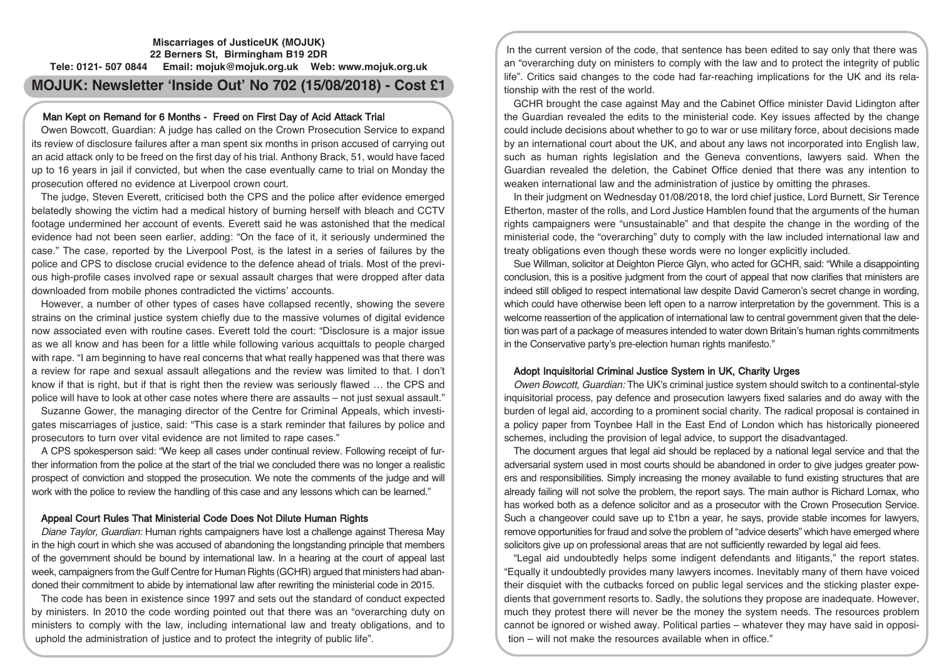# **Miscarriages of JusticeUK (MOJUK) 22 Berners St, Birmingham B19 2DR Tele: 0121- 507 0844 Email: mojuk@mojuk.org.uk Web: www.mojuk.org.uk MOJUK: Newsletter 'Inside Out' No 702 (15/08/2018) - Cost £1**

# Man Kept on Remand for 6 Months - Freed on First Day of Acid Attack Trial

Owen Bowcott, Guardian: A judge has called on the Crown Prosecution Service to expand its review of disclosure failures after a man spent six months in prison accused of carrying out an acid attack only to be freed on the first day of his trial. Anthony Brack, 51, would have faced up to 16 years in jail if convicted, but when the case eventually came to trial on Monday the prosecution offered no evidence at Liverpool crown court.

The judge, Steven Everett, criticised both the CPS and the police after evidence emerged belatedly showing the victim had a medical history of burning herself with bleach and CCTV footage undermined her account of events. Everett said he was astonished that the medical evidence had not been seen earlier, adding: "On the face of it, it seriously undermined the case." The case, reported by the Liverpool Post, is the latest in a series of failures by the police and CPS to disclose crucial evidence to the defence ahead of trials. Most of the previous high-profile cases involved rape or sexual assault charges that were dropped after data downloaded from mobile phones contradicted the victims' accounts.

However, a number of other types of cases have collapsed recently, showing the severe strains on the criminal justice system chiefly due to the massive volumes of digital evidence now associated even with routine cases. Everett told the court: "Disclosure is a major issue as we all know and has been for a little while following various acquittals to people charged with rape. "I am beginning to have real concerns that what really happened was that there was a review for rape and sexual assault allegations and the review was limited to that. I don't know if that is right, but if that is right then the review was seriously flawed … the CPS and police will have to look at other case notes where there are assaults – not just sexual assault."

Suzanne Gower, the managing director of the Centre for Criminal Appeals, which investigates miscarriages of justice, said: "This case is a stark reminder that failures by police and prosecutors to turn over vital evidence are not limited to rape cases."

A CPS spokesperson said: "We keep all cases under continual review. Following receipt of further information from the police at the start of the trial we concluded there was no longer a realistic prospect of conviction and stopped the prosecution. We note the comments of the judge and will work with the police to review the handling of this case and any lessons which can be learned."

## Appeal Court Rules That Ministerial Code Does Not Dilute Human Rights

Diane Taylor, Guardian: Human rights campaigners have lost a challenge against Theresa May in the high court in which she was accused of abandoning the longstanding principle that members of the government should be bound by international law. In a hearing at the court of appeal last week, campaigners from the Gulf Centre for Human Rights (GCHR) argued that ministers had abandoned their commitment to abide by international law after rewriting the ministerial code in 2015.

The code has been in existence since 1997 and sets out the standard of conduct expected by ministers. In 2010 the code wording pointed out that there was an "overarching duty on ministers to comply with the law, including international law and treaty obligations, and to uphold the administration of justice and to protect the integrity of public life".

In the current version of the code, that sentence has been edited to say only that there was an "overarching duty on ministers to comply with the law and to protect the integrity of public life". Critics said changes to the code had far-reaching implications for the UK and its relationship with the rest of the world.

GCHR brought the case against May and the Cabinet Office minister David Lidington after the Guardian revealed the edits to the ministerial code. Key issues affected by the change could include decisions about whether to go to war or use military force, about decisions made by an international court about the UK, and about any laws not incorporated into English law, such as human rights legislation and the Geneva conventions, lawyers said. When the Guardian revealed the deletion, the Cabinet Office denied that there was any intention to weaken international law and the administration of justice by omitting the phrases.

In their judgment on Wednesday 01/08/2018, the lord chief justice, Lord Burnett, Sir Terence Etherton, master of the rolls, and Lord Justice Hamblen found that the arguments of the human rights campaigners were "unsustainable" and that despite the change in the wording of the ministerial code, the "overarching" duty to comply with the law included international law and treaty obligations even though these words were no longer explicitly included.

Sue Willman, solicitor at Deighton Pierce Glyn, who acted for GCHR, said: "While a disappointing conclusion, this is a positive judgment from the court of appeal that now clarifies that ministers are indeed still obliged to respect international law despite David Cameron's secret change in wording, which could have otherwise been left open to a narrow interpretation by the government. This is a welcome reassertion of the application of international law to central government given that the deletion was part of a package of measures intended to water down Britain's human rights commitments in the Conservative party's pre-election human rights manifesto."

## Adopt Inquisitorial Criminal Justice System in UK, Charity Urges

Owen Bowcott, Guardian: The UK's criminal justice system should switch to a continental-style inquisitorial process, pay defence and prosecution lawyers fixed salaries and do away with the burden of legal aid, according to a prominent social charity. The radical proposal is contained in a policy paper from Toynbee Hall in the East End of London which has historically pioneered schemes, including the provision of legal advice, to support the disadvantaged.

The document argues that legal aid should be replaced by a national legal service and that the adversarial system used in most courts should be abandoned in order to give judges greater powers and responsibilities. Simply increasing the money available to fund existing structures that are already failing will not solve the problem, the report says. The main author is Richard Lomax, who has worked both as a defence solicitor and as a prosecutor with the Crown Prosecution Service. Such a changeover could save up to £1bn a year, he says, provide stable incomes for lawyers, remove opportunities for fraud and solve the problem of "advice deserts" which have emerged where solicitors give up on professional areas that are not sufficiently rewarded by legal aid fees.

"Legal aid undoubtedly helps some indigent defendants and litigants," the report states. "Equally it undoubtedly provides many lawyers incomes. Inevitably many of them have voiced their disquiet with the cutbacks forced on public legal services and the sticking plaster expedients that government resorts to. Sadly, the solutions they propose are inadequate. However, much they protest there will never be the money the system needs. The resources problem cannot be ignored or wished away. Political parties – whatever they may have said in opposition – will not make the resources available when in office."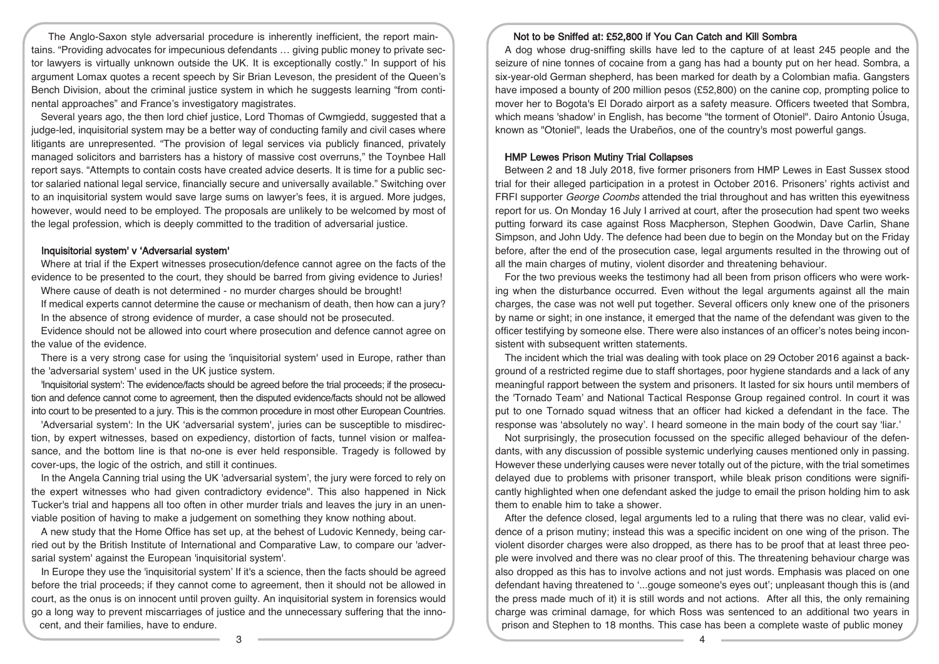The Anglo-Saxon style adversarial procedure is inherently inefficient, the report maintains. "Providing advocates for impecunious defendants … giving public money to private sector lawyers is virtually unknown outside the UK. It is exceptionally costly." In support of his argument Lomax quotes a recent speech by Sir Brian Leveson, the president of the Queen's Bench Division, about the criminal justice system in which he suggests learning "from continental approaches" and France's investigatory magistrates.

Several years ago, the then lord chief justice, Lord Thomas of Cwmgiedd, suggested that a judge-led, inquisitorial system may be a better way of conducting family and civil cases where litigants are unrepresented. "The provision of legal services via publicly financed, privately managed solicitors and barristers has a history of massive cost overruns," the Toynbee Hall report says. "Attempts to contain costs have created advice deserts. It is time for a public sector salaried national legal service, financially secure and universally available." Switching over to an inquisitorial system would save large sums on lawyer's fees, it is argued. More judges, however, would need to be employed. The proposals are unlikely to be welcomed by most of the legal profession, which is deeply committed to the tradition of adversarial justice.

#### Inquisitorial system' v 'Adversarial system'

Where at trial if the Expert witnesses prosecution/defence cannot agree on the facts of the evidence to be presented to the court, they should be barred from giving evidence to Juries!

Where cause of death is not determined - no murder charges should be brought!

If medical experts cannot determine the cause or mechanism of death, then how can a jury? In the absence of strong evidence of murder, a case should not be prosecuted.

Evidence should not be allowed into court where prosecution and defence cannot agree on the value of the evidence.

There is a very strong case for using the 'inquisitorial system' used in Europe, rather than the 'adversarial system' used in the UK justice system.

'Inquisitorial system': The evidence/facts should be agreed before the trial proceeds; if the prosecution and defence cannot come to agreement, then the disputed evidence/facts should not be allowed into court to be presented to a jury. This is the common procedure in most other European Countries.

'Adversarial system': In the UK 'adversarial system', juries can be susceptible to misdirection, by expert witnesses, based on expediency, distortion of facts, tunnel vision or malfeasance, and the bottom line is that no-one is ever held responsible. Tragedy is followed by cover-ups, the logic of the ostrich, and still it continues.

In the Angela Canning trial using the UK 'adversarial system', the jury were forced to rely on the expert witnesses who had given contradictory evidence". This also happened in Nick Tucker's trial and happens all too often in other murder trials and leaves the jury in an unenviable position of having to make a judgement on something they know nothing about.

A new study that the Home Office has set up, at the behest of Ludovic Kennedy, being carried out by the British Institute of International and Comparative Law, to compare our 'adversarial system' against the European 'inquisitorial system'.

In Europe they use the 'inquisitorial system' If it's a science, then the facts should be agreed before the trial proceeds; if they cannot come to agreement, then it should not be allowed in court, as the onus is on innocent until proven guilty. An inquisitorial system in forensics would go a long way to prevent miscarriages of justice and the unnecessary suffering that the innocent, and their families, have to endure.

### Not to be Sniffed at: £52,800 if You Can Catch and Kill Sombra

A dog whose drug-sniffing skills have led to the capture of at least 245 people and the seizure of nine tonnes of cocaine from a gang has had a bounty put on her head. Sombra, a six-year-old German shepherd, has been marked for death by a Colombian mafia. Gangsters have imposed a bounty of 200 million pesos (£52,800) on the canine cop, prompting police to mover her to Bogota's El Dorado airport as a safety measure. Officers tweeted that Sombra, which means 'shadow' in English, has become "the torment of Otoniel". Dairo Antonio Úsuga, known as "Otoniel", leads the Urabeños, one of the country's most powerful gangs.

## HMP Lewes Prison Mutiny Trial Collapses

Between 2 and 18 July 2018, five former prisoners from HMP Lewes in East Sussex stood trial for their alleged participation in a protest in October 2016. Prisoners' rights activist and FRFI supporter George Coombs attended the trial throughout and has written this eyewitness report for us. On Monday 16 July I arrived at court, after the prosecution had spent two weeks putting forward its case against Ross Macpherson, Stephen Goodwin, Dave Carlin, Shane Simpson, and John Udy. The defence had been due to begin on the Monday but on the Friday before, after the end of the prosecution case, legal arguments resulted in the throwing out of all the main charges of mutiny, violent disorder and threatening behaviour.

For the two previous weeks the testimony had all been from prison officers who were working when the disturbance occurred. Even without the legal arguments against all the main charges, the case was not well put together. Several officers only knew one of the prisoners by name or sight; in one instance, it emerged that the name of the defendant was given to the officer testifying by someone else. There were also instances of an officer's notes being inconsistent with subsequent written statements.

The incident which the trial was dealing with took place on 29 October 2016 against a background of a restricted regime due to staff shortages, poor hygiene standards and a lack of any meaningful rapport between the system and prisoners. It lasted for six hours until members of the 'Tornado Team' and National Tactical Response Group regained control. In court it was put to one Tornado squad witness that an officer had kicked a defendant in the face. The response was 'absolutely no way'. I heard someone in the main body of the court say 'liar.'

Not surprisingly, the prosecution focussed on the specific alleged behaviour of the defendants, with any discussion of possible systemic underlying causes mentioned only in passing. However these underlying causes were never totally out of the picture, with the trial sometimes delayed due to problems with prisoner transport, while bleak prison conditions were significantly highlighted when one defendant asked the judge to email the prison holding him to ask them to enable him to take a shower.

After the defence closed, legal arguments led to a ruling that there was no clear, valid evidence of a prison mutiny; instead this was a specific incident on one wing of the prison. The violent disorder charges were also dropped, as there has to be proof that at least three people were involved and there was no clear proof of this. The threatening behaviour charge was also dropped as this has to involve actions and not just words. Emphasis was placed on one defendant having threatened to '...gouge someone's eyes out'; unpleasant though this is (and the press made much of it) it is still words and not actions. After all this, the only remaining charge was criminal damage, for which Ross was sentenced to an additional two years in prison and Stephen to 18 months. This case has been a complete waste of public money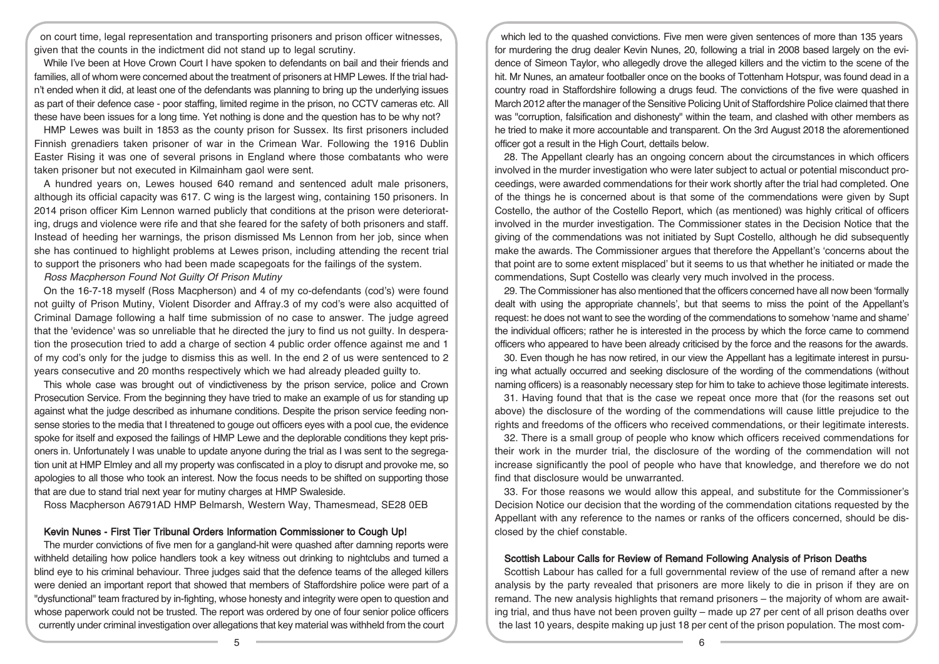on court time, legal representation and transporting prisoners and prison officer witnesses, given that the counts in the indictment did not stand up to legal scrutiny.

While I've been at Hove Crown Court I have spoken to defendants on bail and their friends and families, all of whom were concerned about the treatment of prisoners at HMP Lewes. If the trial hadn't ended when it did, at least one of the defendants was planning to bring up the underlying issues as part of their defence case - poor staffing, limited regime in the prison, no CCTV cameras etc. All these have been issues for a long time. Yet nothing is done and the question has to be why not?

HMP Lewes was built in 1853 as the county prison for Sussex. Its first prisoners included Finnish grenadiers taken prisoner of war in the Crimean War. Following the 1916 Dublin Easter Rising it was one of several prisons in England where those combatants who were taken prisoner but not executed in Kilmainham gaol were sent.

A hundred years on, Lewes housed 640 remand and sentenced adult male prisoners, although its official capacity was 617. C wing is the largest wing, containing 150 prisoners. In 2014 prison officer Kim Lennon warned publicly that conditions at the prison were deteriorating, drugs and violence were rife and that she feared for the safety of both prisoners and staff. Instead of heeding her warnings, the prison dismissed Ms Lennon from her job, since when she has continued to highlight problems at Lewes prison, including attending the recent trial to support the prisoners who had been made scapegoats for the failings of the system.

Ross Macpherson Found Not Guilty Of Prison Mutiny

On the 16-7-18 myself (Ross Macpherson) and 4 of my co-defendants (cod's) were found not guilty of Prison Mutiny, Violent Disorder and Affray.3 of my cod's were also acquitted of Criminal Damage following a half time submission of no case to answer. The judge agreed that the 'evidence' was so unreliable that he directed the jury to find us not guilty. In desperation the prosecution tried to add a charge of section 4 public order offence against me and 1 of my cod's only for the judge to dismiss this as well. In the end 2 of us were sentenced to 2 years consecutive and 20 months respectively which we had already pleaded guilty to.

This whole case was brought out of vindictiveness by the prison service, police and Crown Prosecution Service. From the beginning they have tried to make an example of us for standing up against what the judge described as inhumane conditions. Despite the prison service feeding nonsense stories to the media that I threatened to gouge out officers eyes with a pool cue, the evidence spoke for itself and exposed the failings of HMP Lewe and the deplorable conditions they kept prisoners in. Unfortunately I was unable to update anyone during the trial as I was sent to the segregation unit at HMP Elmley and all my property was confiscated in a ploy to disrupt and provoke me, so apologies to all those who took an interest. Now the focus needs to be shifted on supporting those that are due to stand trial next year for mutiny charges at HMP Swaleside.

Ross Macpherson A6791AD HMP Belmarsh, Western Way, Thamesmead, SE28 0EB

#### Kevin Nunes - First Tier Tribunal Orders Information Commissioner to Cough Up!

The murder convictions of five men for a gangland-hit were quashed after damning reports were withheld detailing how police handlers took a key witness out drinking to nightclubs and turned a blind eye to his criminal behaviour. Three judges said that the defence teams of the alleged killers were denied an important report that showed that members of Staffordshire police were part of a "dysfunctional" team fractured by in-fighting, whose honesty and integrity were open to question and whose paperwork could not be trusted. The report was ordered by one of four senior police officers currently under criminal investigation over allegations that key material was withheld from the court

which led to the quashed convictions. Five men were given sentences of more than 135 years for murdering the drug dealer Kevin Nunes, 20, following a trial in 2008 based largely on the evidence of Simeon Taylor, who allegedly drove the alleged killers and the victim to the scene of the hit. Mr Nunes, an amateur footballer once on the books of Tottenham Hotspur, was found dead in a country road in Staffordshire following a drugs feud. The convictions of the five were quashed in March 2012 after the manager of the Sensitive Policing Unit of Staffordshire Police claimed that there was "corruption, falsification and dishonesty" within the team, and clashed with other members as he tried to make it more accountable and transparent. On the 3rd August 2018 the aforementioned officer got a result in the High Court, dettails below.

28. The Appellant clearly has an ongoing concern about the circumstances in which officers involved in the murder investigation who were later subject to actual or potential misconduct proceedings, were awarded commendations for their work shortly after the trial had completed. One of the things he is concerned about is that some of the commendations were given by Supt Costello, the author of the Costello Report, which (as mentioned) was highly critical of officers involved in the murder investigation. The Commissioner states in the Decision Notice that the giving of the commendations was not initiated by Supt Costello, although he did subsequently make the awards. The Commissioner argues that therefore the Appellant's 'concerns about the that point are to some extent misplaced' but it seems to us that whether he initiated or made the commendations, Supt Costello was clearly very much involved in the process.

29. The Commissioner has also mentioned that the officers concerned have all now been 'formally dealt with using the appropriate channels', but that seems to miss the point of the Appellant's request: he does not want to see the wording of the commendations to somehow 'name and shame' the individual officers; rather he is interested in the process by which the force came to commend officers who appeared to have been already criticised by the force and the reasons for the awards.

30. Even though he has now retired, in our view the Appellant has a legitimate interest in pursuing what actually occurred and seeking disclosure of the wording of the commendations (without naming officers) is a reasonably necessary step for him to take to achieve those legitimate interests.

31. Having found that that is the case we repeat once more that (for the reasons set out above) the disclosure of the wording of the commendations will cause little prejudice to the rights and freedoms of the officers who received commendations, or their legitimate interests.

32. There is a small group of people who know which officers received commendations for their work in the murder trial, the disclosure of the wording of the commendation will not increase significantly the pool of people who have that knowledge, and therefore we do not find that disclosure would be unwarranted.

33. For those reasons we would allow this appeal, and substitute for the Commissioner's Decision Notice our decision that the wording of the commendation citations requested by the Appellant with any reference to the names or ranks of the officers concerned, should be disclosed by the chief constable.

### Scottish Labour Calls for Review of Remand Following Analysis of Prison Deaths

Scottish Labour has called for a full governmental review of the use of remand after a new analysis by the party revealed that prisoners are more likely to die in prison if they are on remand. The new analysis highlights that remand prisoners – the majority of whom are awaiting trial, and thus have not been proven quilty – made up 27 per cent of all prison deaths over the last 10 years, despite making up just 18 per cent of the prison population. The most com-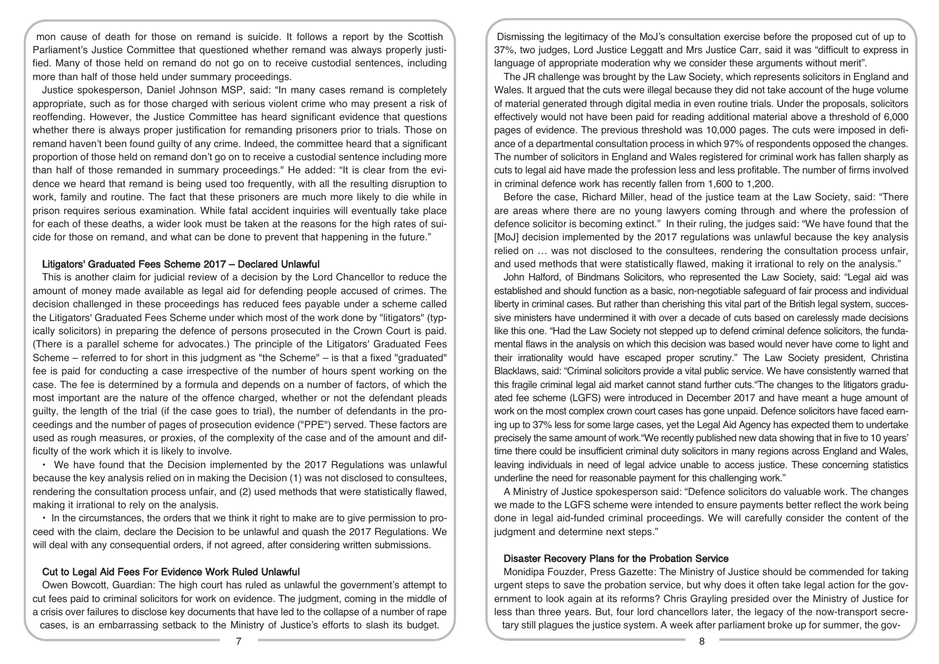mon cause of death for those on remand is suicide. It follows a report by the Scottish Parliament's Justice Committee that questioned whether remand was always properly justified. Many of those held on remand do not go on to receive custodial sentences, including more than half of those held under summary proceedings.

Justice spokesperson, Daniel Johnson MSP, said: "In many cases remand is completely appropriate, such as for those charged with serious violent crime who may present a risk of reoffending. However, the Justice Committee has heard significant evidence that questions whether there is always proper justification for remanding prisoners prior to trials. Those on remand haven't been found guilty of any crime. Indeed, the committee heard that a significant proportion of those held on remand don't go on to receive a custodial sentence including more than half of those remanded in summary proceedings." He added: "It is clear from the evidence we heard that remand is being used too frequently, with all the resulting disruption to work, family and routine. The fact that these prisoners are much more likely to die while in prison requires serious examination. While fatal accident inquiries will eventually take place for each of these deaths, a wider look must be taken at the reasons for the high rates of suicide for those on remand, and what can be done to prevent that happening in the future."

### Litigators' Graduated Fees Scheme 2017 – Declared Unlawful

This is another claim for judicial review of a decision by the Lord Chancellor to reduce the amount of money made available as legal aid for defending people accused of crimes. The decision challenged in these proceedings has reduced fees payable under a scheme called the Litigators' Graduated Fees Scheme under which most of the work done by "litigators" (typically solicitors) in preparing the defence of persons prosecuted in the Crown Court is paid. (There is a parallel scheme for advocates.) The principle of the Litigators' Graduated Fees Scheme – referred to for short in this judgment as "the Scheme" – is that a fixed "graduated" fee is paid for conducting a case irrespective of the number of hours spent working on the case. The fee is determined by a formula and depends on a number of factors, of which the most important are the nature of the offence charged, whether or not the defendant pleads guilty, the length of the trial (if the case goes to trial), the number of defendants in the proceedings and the number of pages of prosecution evidence ("PPE") served. These factors are used as rough measures, or proxies, of the complexity of the case and of the amount and difficulty of the work which it is likely to involve.

• We have found that the Decision implemented by the 2017 Regulations was unlawful because the key analysis relied on in making the Decision (1) was not disclosed to consultees, rendering the consultation process unfair, and (2) used methods that were statistically flawed, making it irrational to rely on the analysis.

• In the circumstances, the orders that we think it right to make are to give permission to proceed with the claim, declare the Decision to be unlawful and quash the 2017 Regulations. We will deal with any consequential orders, if not agreed, after considering written submissions.

# Cut to Legal Aid Fees For Evidence Work Ruled Unlawful

Owen Bowcott, Guardian: The high court has ruled as unlawful the government's attempt to cut fees paid to criminal solicitors for work on evidence. The judgment, coming in the middle of a crisis over failures to disclose key documents that have led to the collapse of a number of rape cases, is an embarrassing setback to the Ministry of Justice's efforts to slash its budget.

Dismissing the legitimacy of the MoJ's consultation exercise before the proposed cut of up to 37%, two judges, Lord Justice Leggatt and Mrs Justice Carr, said it was "difficult to express in language of appropriate moderation why we consider these arguments without merit".

The JR challenge was brought by the Law Society, which represents solicitors in England and Wales. It argued that the cuts were illegal because they did not take account of the huge volume of material generated through digital media in even routine trials. Under the proposals, solicitors effectively would not have been paid for reading additional material above a threshold of 6,000 pages of evidence. The previous threshold was 10,000 pages. The cuts were imposed in defiance of a departmental consultation process in which 97% of respondents opposed the changes. The number of solicitors in England and Wales registered for criminal work has fallen sharply as cuts to legal aid have made the profession less and less profitable. The number of firms involved in criminal defence work has recently fallen from 1,600 to 1,200.

Before the case, Richard Miller, head of the justice team at the Law Society, said: "There are areas where there are no young lawyers coming through and where the profession of defence solicitor is becoming extinct." In their ruling, the judges said: "We have found that the [MoJ] decision implemented by the 2017 regulations was unlawful because the key analysis relied on … was not disclosed to the consultees, rendering the consultation process unfair, and used methods that were statistically flawed, making it irrational to rely on the analysis."

John Halford, of Bindmans Solicitors, who represented the Law Society, said: "Legal aid was established and should function as a basic, non-negotiable safeguard of fair process and individual liberty in criminal cases. But rather than cherishing this vital part of the British legal system, successive ministers have undermined it with over a decade of cuts based on carelessly made decisions like this one. "Had the Law Society not stepped up to defend criminal defence solicitors, the fundamental flaws in the analysis on which this decision was based would never have come to light and their irrationality would have escaped proper scrutiny." The Law Society president, Christina Blacklaws, said: "Criminal solicitors provide a vital public service. We have consistently warned that this fragile criminal legal aid market cannot stand further cuts."The changes to the litigators graduated fee scheme (LGFS) were introduced in December 2017 and have meant a huge amount of work on the most complex crown court cases has gone unpaid. Defence solicitors have faced earning up to 37% less for some large cases, yet the Legal Aid Agency has expected them to undertake precisely the same amount of work."We recently published new data showing that in five to 10 years' time there could be insufficient criminal duty solicitors in many regions across England and Wales, leaving individuals in need of legal advice unable to access justice. These concerning statistics underline the need for reasonable payment for this challenging work."

A Ministry of Justice spokesperson said: "Defence solicitors do valuable work. The changes we made to the LGFS scheme were intended to ensure payments better reflect the work being done in legal aid-funded criminal proceedings. We will carefully consider the content of the judgment and determine next steps."

# Disaster Recovery Plans for the Probation Service

Monidipa Fouzder, Press Gazette: The Ministry of Justice should be commended for taking urgent steps to save the probation service, but why does it often take legal action for the government to look again at its reforms? Chris Grayling presided over the Ministry of Justice for less than three years. But, four lord chancellors later, the legacy of the now-transport secretary still plagues the justice system. A week after parliament broke up for summer, the gov-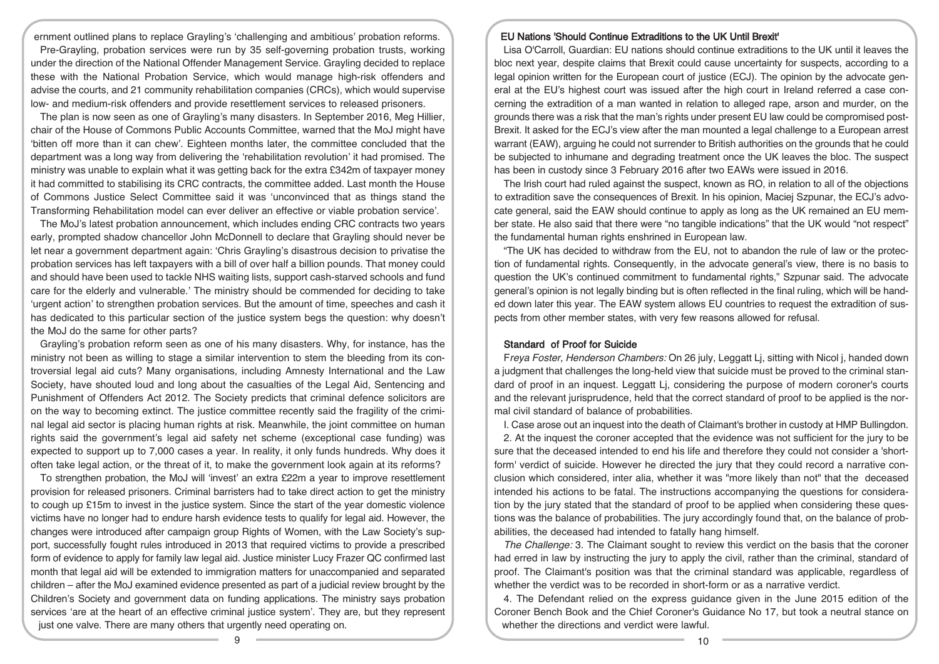ernment outlined plans to replace Grayling's 'challenging and ambitious' probation reforms. Pre-Grayling, probation services were run by 35 self-governing probation trusts, working under the direction of the National Offender Management Service. Grayling decided to replace these with the National Probation Service, which would manage high-risk offenders and advise the courts, and 21 community rehabilitation companies (CRCs), which would supervise low- and medium-risk offenders and provide resettlement services to released prisoners.

The plan is now seen as one of Grayling's many disasters. In September 2016, Meg Hillier, chair of the House of Commons Public Accounts Committee, warned that the MoJ might have 'bitten off more than it can chew'. Eighteen months later, the committee concluded that the department was a long way from delivering the 'rehabilitation revolution' it had promised. The ministry was unable to explain what it was getting back for the extra £342m of taxpayer money it had committed to stabilising its CRC contracts, the committee added. Last month the House of Commons Justice Select Committee said it was 'unconvinced that as things stand the Transforming Rehabilitation model can ever deliver an effective or viable probation service'.

The MoJ's latest probation announcement, which includes ending CRC contracts two years early, prompted shadow chancellor John McDonnell to declare that Grayling should never be let near a government department again: 'Chris Grayling's disastrous decision to privatise the probation services has left taxpayers with a bill of over half a billion pounds. That money could and should have been used to tackle NHS waiting lists, support cash-starved schools and fund care for the elderly and vulnerable.' The ministry should be commended for deciding to take 'urgent action' to strengthen probation services. But the amount of time, speeches and cash it has dedicated to this particular section of the justice system begs the question: why doesn't the MoJ do the same for other parts?

Grayling's probation reform seen as one of his many disasters. Why, for instance, has the ministry not been as willing to stage a similar intervention to stem the bleeding from its controversial legal aid cuts? Many organisations, including Amnesty International and the Law Society, have shouted loud and long about the casualties of the Legal Aid, Sentencing and Punishment of Offenders Act 2012. The Society predicts that criminal defence solicitors are on the way to becoming extinct. The justice committee recently said the fragility of the criminal legal aid sector is placing human rights at risk. Meanwhile, the joint committee on human rights said the government's legal aid safety net scheme (exceptional case funding) was expected to support up to 7,000 cases a year. In reality, it only funds hundreds. Why does it often take legal action, or the threat of it, to make the government look again at its reforms?

To strengthen probation, the MoJ will 'invest' an extra £22m a year to improve resettlement provision for released prisoners. Criminal barristers had to take direct action to get the ministry to cough up £15m to invest in the justice system. Since the start of the year domestic violence victims have no longer had to endure harsh evidence tests to qualify for legal aid. However, the changes were introduced after campaign group Rights of Women, with the Law Society's support, successfully fought rules introduced in 2013 that required victims to provide a prescribed form of evidence to apply for family law legal aid. Justice minister Lucy Frazer QC confirmed last month that legal aid will be extended to immigration matters for unaccompanied and separated children – after the MoJ examined evidence presented as part of a judicial review brought by the Children's Society and government data on funding applications. The ministry says probation services 'are at the heart of an effective criminal justice system'. They are, but they represent just one valve. There are many others that urgently need operating on.

### EU Nations 'Should Continue Extraditions to the UK Until Brexit'

Lisa O'Carroll, Guardian: EU nations should continue extraditions to the UK until it leaves the bloc next year, despite claims that Brexit could cause uncertainty for suspects, according to a legal opinion written for the European court of justice (ECJ). The opinion by the advocate general at the EU's highest court was issued after the high court in Ireland referred a case concerning the extradition of a man wanted in relation to alleged rape, arson and murder, on the grounds there was a risk that the man's rights under present EU law could be compromised post-Brexit. It asked for the ECJ's view after the man mounted a legal challenge to a European arrest warrant (EAW), arguing he could not surrender to British authorities on the grounds that he could be subjected to inhumane and degrading treatment once the UK leaves the bloc. The suspect has been in custody since 3 February 2016 after two EAWs were issued in 2016.

The Irish court had ruled against the suspect, known as RO, in relation to all of the objections to extradition save the consequences of Brexit. In his opinion, Maciej Szpunar, the ECJ's advocate general, said the EAW should continue to apply as long as the UK remained an EU member state. He also said that there were "no tangible indications" that the UK would "not respect" the fundamental human rights enshrined in European law.

"The UK has decided to withdraw from the EU, not to abandon the rule of law or the protection of fundamental rights. Consequently, in the advocate general's view, there is no basis to question the UK's continued commitment to fundamental rights," Szpunar said. The advocate general's opinion is not legally binding but is often reflected in the final ruling, which will be handed down later this year. The EAW system allows EU countries to request the extradition of suspects from other member states, with very few reasons allowed for refusal.

## Standard of Proof for Suicide

Freya Foster, Henderson Chambers: On 26 july, Leggatt Lj, sitting with Nicol j, handed down a judgment that challenges the long-held view that suicide must be proved to the criminal standard of proof in an inquest. Leggatt Lj, considering the purpose of modern coroner's courts and the relevant jurisprudence, held that the correct standard of proof to be applied is the normal civil standard of balance of probabilities.

I. Case arose out an inquest into the death of Claimant's brother in custody at HMP Bullingdon.

2. At the inquest the coroner accepted that the evidence was not sufficient for the jury to be sure that the deceased intended to end his life and therefore they could not consider a 'shortform' verdict of suicide. However he directed the jury that they could record a narrative conclusion which considered, inter alia, whether it was "more likely than not" that the deceased intended his actions to be fatal. The instructions accompanying the questions for consideration by the jury stated that the standard of proof to be applied when considering these questions was the balance of probabilities. The jury accordingly found that, on the balance of probabilities, the deceased had intended to fatally hang himself.

The Challenge: 3. The Claimant sought to review this verdict on the basis that the coroner had erred in law by instructing the jury to apply the civil, rather than the criminal, standard of proof. The Claimant's position was that the criminal standard was applicable, regardless of whether the verdict was to be recorded in short-form or as a narrative verdict.

4. The Defendant relied on the express guidance given in the June 2015 edition of the Coroner Bench Book and the Chief Coroner's Guidance No 17, but took a neutral stance on whether the directions and verdict were lawful.